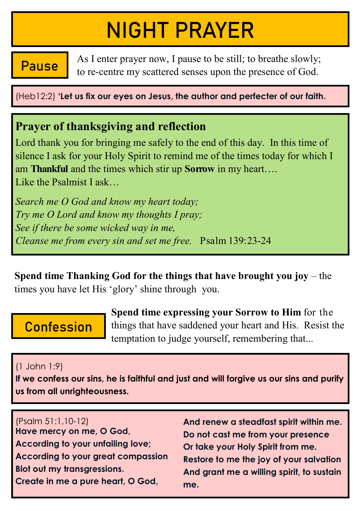# NIGHT PRAYER

As I enter prayer now, I pause to be still; to breathe slowly; **Pause** As I enter prayer now, I pause to be still; to breathe slowly;<br>to re-centre my scattered senses upon the presence of God.

(Heb12:2) **'Let us fix our eyes on Jesus, the author and perfecter of our faith.**

## **Prayer of thanksgiving and reflection**

Lord thank you for bringing me safely to the end of this day. In this time of silence I ask for your Holy Spirit to remind me of the times today for which I am **Thankful** and the times which stir up **Sorrow** in my heart…. Like the Psalmist I ask…

*Search me O God and know my heart today; Try me O Lord and know my thoughts I pray; See if there be some wicked way in me, Cleanse me from every sin and set me free.* Psalm 139:23-24

**Spend time Thanking God for the things that have brought you joy** – the times you have let His 'glory' shine through you.

# **Confession**

**Spend time expressing your Sorrow to Him** for the things that have saddened your heart and His. Resist the temptation to judge yourself, remembering that...

#### (1 John 1:9)

**If we confess our sins, he is faithful and just and will forgive us our sins and purify us from all unrighteousness.** 

(Psalm 51:1,10-12) **Have mercy on me, O God, According to your unfailing love; According to your great compassion Blot out my transgressions. Create in me a pure heart, O God,**

**And renew a steadfast spirit within me. Do not cast me from your presence Or take your Holy Spirit from me. Restore to me the joy of your salvation And grant me a willing spirit, to sustain me.**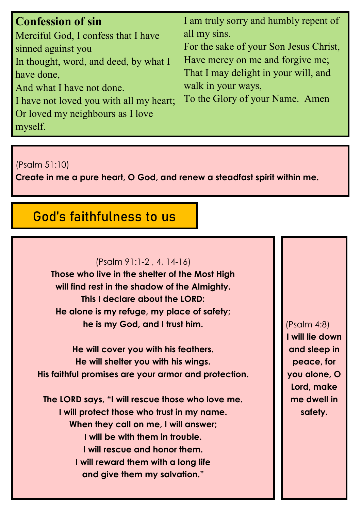| <b>Confession of sin</b>                | I am truly sorry and humbly repent of  |
|-----------------------------------------|----------------------------------------|
| Merciful God, I confess that I have     | all my sins.                           |
| sinned against you                      | For the sake of your Son Jesus Christ, |
| In thought, word, and deed, by what I   | Have mercy on me and forgive me;       |
| have done,                              | That I may delight in your will, and   |
| And what I have not done.               | walk in your ways,                     |
| I have not loved you with all my heart; | To the Glory of your Name. Amen        |
| Or loved my neighbours as I love        |                                        |
| myself.                                 |                                        |

(Psalm 51:10)

**Create in me a pure heart, O God, and renew a steadfast spirit within me.** 

# God's faithfulness to us

#### (Psalm 91:1-2 , 4, 14-16)

**Those who live in the shelter of the Most High will find rest in the shadow of the Almighty. This I declare about the LORD: He alone is my refuge, my place of safety; he is my God, and I trust him.**

**He will cover you with his feathers. He will shelter you with his wings. His faithful promises are your armor and protection.**

**The LORD says, "I will rescue those who love me. I will protect those who trust in my name. When they call on me, I will answer; I will be with them in trouble. I will rescue and honor them. I will reward them with a long life and give them my salvation."**

(Psalm 4:8) **I will lie down and sleep in peace, for you alone, O Lord, make me dwell in safety.**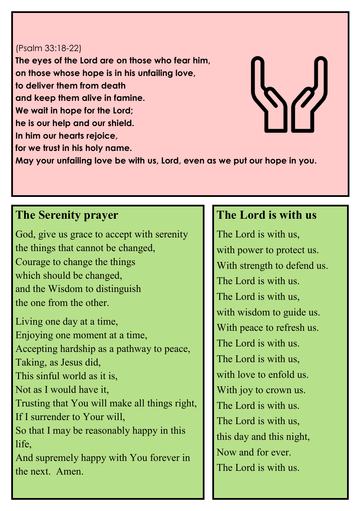#### (Psalm 33:18-22)

**The eyes of the Lord are on those who fear him, on those whose hope is in his unfailing love, to deliver them from death and keep them alive in famine. We wait in hope for the Lord; he is our help and our shield. In him our hearts rejoice, for we trust in his holy name. May your unfailing love be with us, Lord, even as we put our hope in you.**

#### **The Serenity prayer**

God, give us grace to accept with serenity the things that cannot be changed, Courage to change the things which should be changed, and the Wisdom to distinguish the one from the other.

Living one day at a time, Enjoying one moment at a time, Accepting hardship as a pathway to peace, Taking, as Jesus did, This sinful world as it is, Not as I would have it, Trusting that You will make all things right, If I surrender to Your will, So that I may be reasonably happy in this life. And supremely happy with You forever in the next. Amen.

### **The Lord is with us**

The Lord is with us, with power to protect us. With strength to defend us. The Lord is with us. The Lord is with us, with wisdom to guide us. With peace to refresh us. The Lord is with us. The Lord is with us, with love to enfold us. With joy to crown us. The Lord is with us. The Lord is with us, this day and this night, Now and for ever. The Lord is with us.